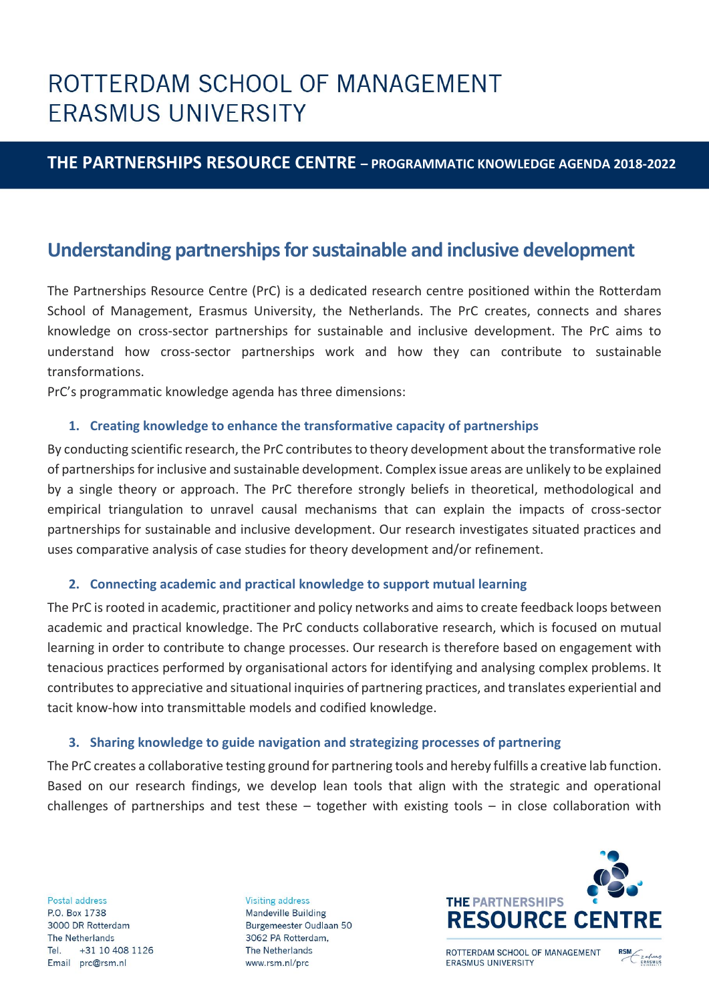# ROTTERDAM SCHOOL OF MANAGEMENT **ERASMUS UNIVERSITY**

### **THE PARTNERSHIPS RESOURCE CENTRE – PROGRAMMATIC KNOWLEDGE AGENDA 2018-2022**

### **Understanding partnerships for sustainable and inclusive development**

The Partnerships Resource Centre (PrC) is a dedicated research centre positioned within the Rotterdam School of Management, Erasmus University, the Netherlands. The PrC creates, connects and shares knowledge on cross-sector partnerships for sustainable and inclusive development. The PrC aims to understand how cross-sector partnerships work and how they can contribute to sustainable transformations.

PrC's programmatic knowledge agenda has three dimensions:

#### **1. Creating knowledge to enhance the transformative capacity of partnerships**

By conducting scientific research, the PrC contributes to theory development about the transformative role of partnerships for inclusive and sustainable development. Complex issue areas are unlikely to be explained by a single theory or approach. The PrC therefore strongly beliefs in theoretical, methodological and empirical triangulation to unravel causal mechanisms that can explain the impacts of cross-sector partnerships for sustainable and inclusive development. Our research investigates situated practices and uses comparative analysis of case studies for theory development and/or refinement.

#### **2. Connecting academic and practical knowledge to support mutual learning**

The PrC is rooted in academic, practitioner and policy networks and aims to create feedback loops between academic and practical knowledge. The PrC conducts collaborative research, which is focused on mutual learning in order to contribute to change processes. Our research is therefore based on engagement with tenacious practices performed by organisational actors for identifying and analysing complex problems. It contributes to appreciative and situational inquiries of partnering practices, and translates experiential and tacit know-how into transmittable models and codified knowledge.

#### **3. Sharing knowledge to guide navigation and strategizing processes of partnering**

The PrC creates a collaborative testing ground for partnering tools and hereby fulfills a creative lab function. Based on our research findings, we develop lean tools that align with the strategic and operational challenges of partnerships and test these – together with existing tools – in close collaboration with

Postal address P.O. Box 1738 3000 DR Rotterdam The Netherlands Tel. +31 10 408 1126 Email prc@rsm.nl

**Visiting address Mandeville Building** Burgemeester Oudlaan 50 3062 PA Rotterdam, The Netherlands www.rsm.nl/prc



ROTTERDAM SCHOOL OF MANAGEMENT **ERASMUS UNIVERSITY** 

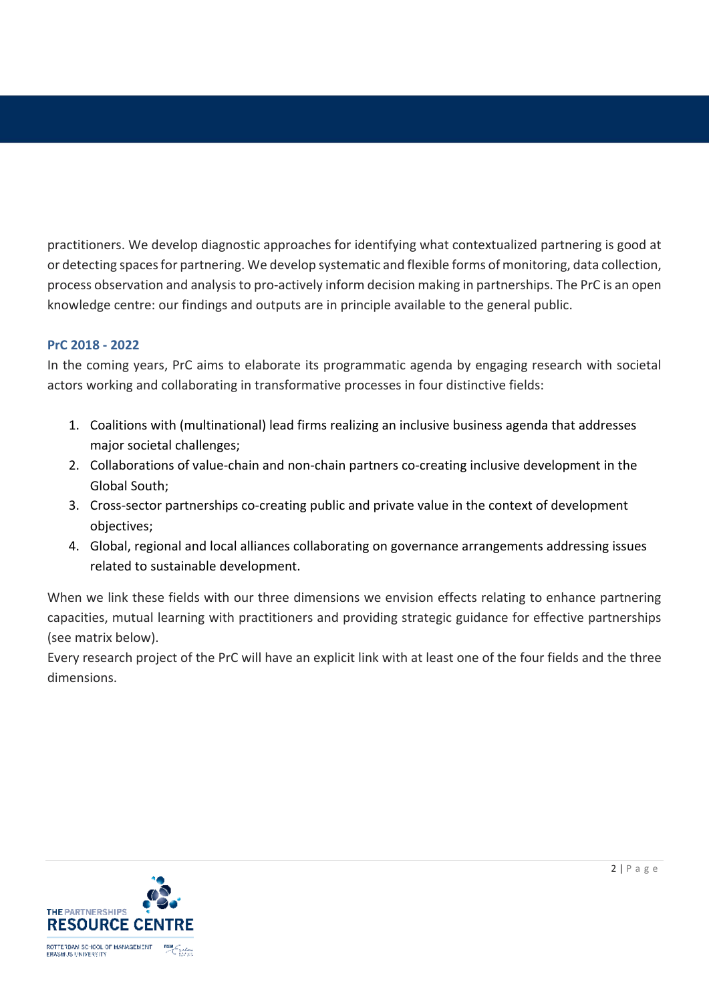practitioners. We develop diagnostic approaches for identifying what contextualized partnering is good at or detecting spaces for partnering. We develop systematic and flexible forms of monitoring, data collection, process observation and analysis to pro-actively inform decision making in partnerships. The PrC is an open knowledge centre: our findings and outputs are in principle available to the general public.

#### **PrC 2018 - 2022**

In the coming years, PrC aims to elaborate its programmatic agenda by engaging research with societal actors working and collaborating in transformative processes in four distinctive fields:

- 1. Coalitions with (multinational) lead firms realizing an inclusive business agenda that addresses major societal challenges;
- 2. Collaborations of value-chain and non-chain partners co-creating inclusive development in the Global South;
- 3. Cross-sector partnerships co-creating public and private value in the context of development objectives;
- 4. Global, regional and local alliances collaborating on governance arrangements addressing issues related to sustainable development.

When we link these fields with our three dimensions we envision effects relating to enhance partnering capacities, mutual learning with practitioners and providing strategic guidance for effective partnerships (see matrix below).

Every research project of the PrC will have an explicit link with at least one of the four fields and the three dimensions.

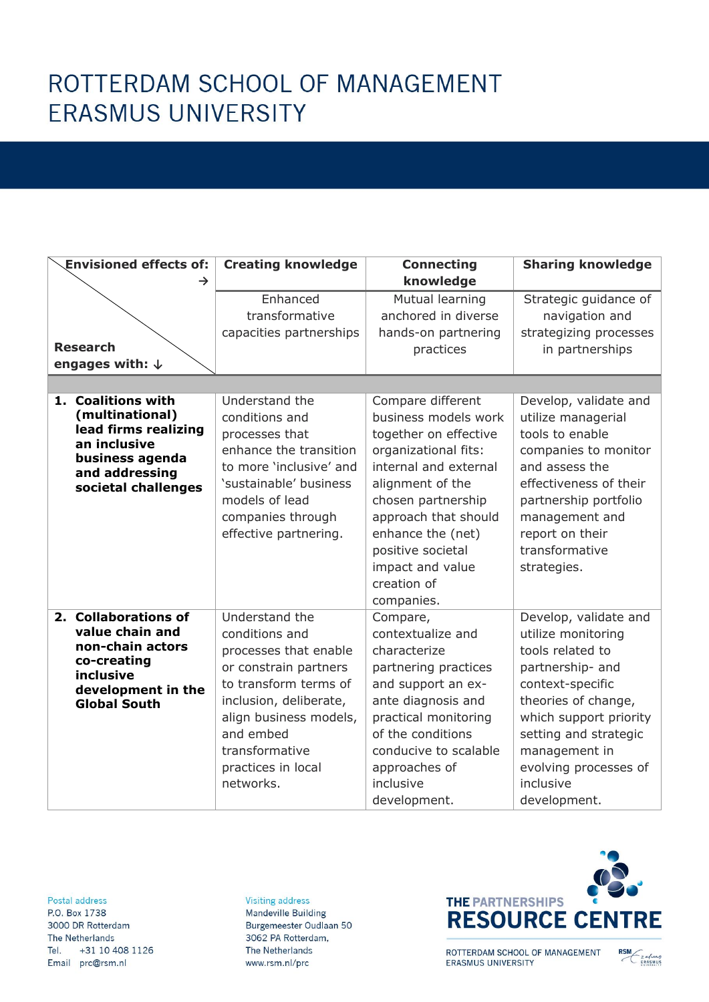# ROTTERDAM SCHOOL OF MANAGEMENT **ERASMUS UNIVERSITY**

| <b>Envisioned effects of:</b>                                                                                                             | <b>Creating knowledge</b>                                                                                                                                                                                                         | <b>Connecting</b>                                                                                                                                                                                                                                                                | <b>Sharing knowledge</b>                                                                                                                                                                                                                                 |
|-------------------------------------------------------------------------------------------------------------------------------------------|-----------------------------------------------------------------------------------------------------------------------------------------------------------------------------------------------------------------------------------|----------------------------------------------------------------------------------------------------------------------------------------------------------------------------------------------------------------------------------------------------------------------------------|----------------------------------------------------------------------------------------------------------------------------------------------------------------------------------------------------------------------------------------------------------|
| $\rightarrow$                                                                                                                             |                                                                                                                                                                                                                                   | knowledge                                                                                                                                                                                                                                                                        |                                                                                                                                                                                                                                                          |
| <b>Research</b>                                                                                                                           | Enhanced<br>transformative<br>capacities partnerships                                                                                                                                                                             | Mutual learning<br>anchored in diverse<br>hands-on partnering<br>practices                                                                                                                                                                                                       | Strategic guidance of<br>navigation and<br>strategizing processes<br>in partnerships                                                                                                                                                                     |
| engages with: $\downarrow$                                                                                                                |                                                                                                                                                                                                                                   |                                                                                                                                                                                                                                                                                  |                                                                                                                                                                                                                                                          |
| 1. Coalitions with<br>(multinational)<br>lead firms realizing<br>an inclusive<br>business agenda<br>and addressing<br>societal challenges | Understand the<br>conditions and<br>processes that<br>enhance the transition<br>to more 'inclusive' and<br>'sustainable' business<br>models of lead<br>companies through<br>effective partnering.                                 | Compare different<br>business models work<br>together on effective<br>organizational fits:<br>internal and external<br>alignment of the<br>chosen partnership<br>approach that should<br>enhance the (net)<br>positive societal<br>impact and value<br>creation of<br>companies. | Develop, validate and<br>utilize managerial<br>tools to enable<br>companies to monitor<br>and assess the<br>effectiveness of their<br>partnership portfolio<br>management and<br>report on their<br>transformative<br>strategies.                        |
| 2. Collaborations of<br>value chain and<br>non-chain actors<br>co-creating<br>inclusive<br>development in the<br><b>Global South</b>      | Understand the<br>conditions and<br>processes that enable<br>or constrain partners<br>to transform terms of<br>inclusion, deliberate,<br>align business models,<br>and embed<br>transformative<br>practices in local<br>networks. | Compare,<br>contextualize and<br>characterize<br>partnering practices<br>and support an ex-<br>ante diagnosis and<br>practical monitoring<br>of the conditions<br>conducive to scalable<br>approaches of<br>inclusive<br>development.                                            | Develop, validate and<br>utilize monitoring<br>tools related to<br>partnership- and<br>context-specific<br>theories of change,<br>which support priority<br>setting and strategic<br>management in<br>evolving processes of<br>inclusive<br>development. |

Postal address P.O. Box 1738 3000 DR Rotterdam The Netherlands Tel. +31 10 408 1126

Email pro@rsm.nl

#### **Visiting address** Mandeville Building Burgemeester Oudlaan 50 3062 PA Rotterdam, The Netherlands www.rsm.nl/prc



ROTTERDAM SCHOOL OF MANAGEMENT ERASMUS UNIVERSITY